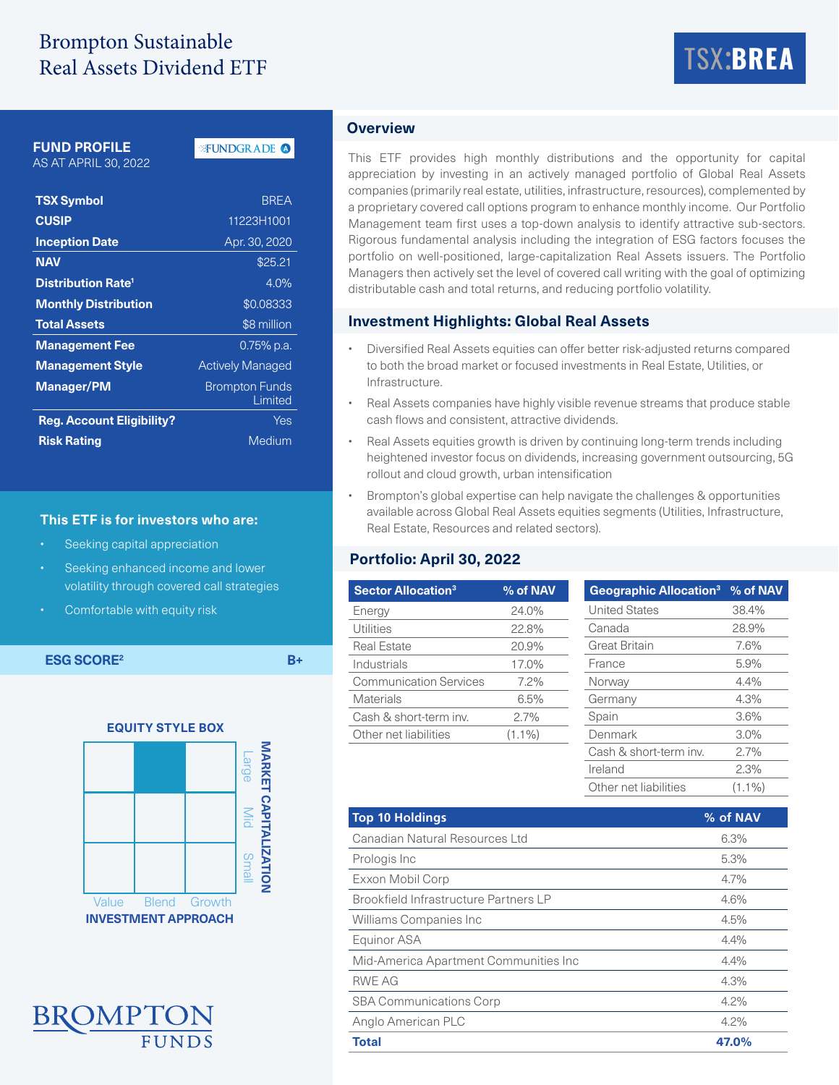## Brompton Sustainable Real Assets Dividend ETF

# TSX:**BREA**

#### **FUND PROFILE**

AS AT APRIL 30, 2022

#### **FUNDGRADE O**

| <b>TSX Symbol</b>                    | <b>BREA</b>                      |  |  |  |
|--------------------------------------|----------------------------------|--|--|--|
| <b>CUSIP</b>                         | 11223H1001                       |  |  |  |
| <b>Inception Date</b>                | Apr. 30, 2020                    |  |  |  |
| <b>NAV</b>                           | \$25.21                          |  |  |  |
| <b>Distribution Rate<sup>1</sup></b> | $4.0\%$                          |  |  |  |
| <b>Monthly Distribution</b>          | \$0.08333                        |  |  |  |
| <b>Total Assets</b>                  | \$8 million                      |  |  |  |
| <b>Management Fee</b>                | 0.75% p.a.                       |  |  |  |
| <b>Management Style</b>              | <b>Actively Managed</b>          |  |  |  |
| <b>Manager/PM</b>                    | <b>Brompton Funds</b><br>Limited |  |  |  |
| <b>Reg. Account Eligibility?</b>     | Yes                              |  |  |  |
| <b>Risk Rating</b>                   | Medium                           |  |  |  |

#### **This ETF is for investors who are:**

- Seeking capital appreciation
- Seeking enhanced income and lower volatility through covered call strategies
- Comfortable with equity risk

**ESG SCORE<sup>2</sup> B+** 





### **Overview**

This ETF provides high monthly distributions and the opportunity for capital appreciation by investing in an actively managed portfolio of Global Real Assets companies (primarily real estate, utilities, infrastructure, resources), complemented by a proprietary covered call options program to enhance monthly income. Our Portfolio Management team first uses a top-down analysis to identify attractive sub-sectors. Rigorous fundamental analysis including the integration of ESG factors focuses the portfolio on well-positioned, large-capitalization Real Assets issuers. The Portfolio Managers then actively set the level of covered call writing with the goal of optimizing distributable cash and total returns, and reducing portfolio volatility.

#### **Investment Highlights: Global Real Assets**

- Diversified Real Assets equities can offer better risk-adjusted returns compared to both the broad market or focused investments in Real Estate, Utilities, or Infrastructure.
- Real Assets companies have highly visible revenue streams that produce stable cash flows and consistent, attractive dividends.
- Real Assets equities growth is driven by continuing long-term trends including heightened investor focus on dividends, increasing government outsourcing, 5G rollout and cloud growth, urban intensification
- Brompton's global expertise can help navigate the challenges & opportunities available across Global Real Assets equities segments (Utilities, Infrastructure, Real Estate, Resources and related sectors).

#### **Portfolio: April 30, 2022**

| <b>Sector Allocation<sup>3</sup></b> | % of NAV  | Geographic Allocation <sup>3</sup> % of NAV |
|--------------------------------------|-----------|---------------------------------------------|
| Energy                               | 24.0%     | <b>United States</b>                        |
| <b>Utilities</b>                     | 22.8%     | Canada                                      |
| <b>Real Estate</b>                   | 20.9%     | <b>Great Britain</b>                        |
| Industrials                          | 17.0%     | France                                      |
| <b>Communication Services</b>        | $7.2\%$   | Norway                                      |
| <b>Materials</b>                     | 6.5%      | Germany                                     |
| Cash & short-term inv.               | 2.7%      | Spain                                       |
| Other net liabilities                | $(1.1\%)$ | Denmark                                     |
|                                      |           | Cash & short-term inv.                      |
|                                      |           | $\cdots$                                    |

Ireland 2.3% Other net liabilities (1.1%)

| <b>Top 10 Holdings</b>                       | % of NAV |
|----------------------------------------------|----------|
| Canadian Natural Resources Ltd               | 6.3%     |
| Prologis Inc                                 | 5.3%     |
| Exxon Mobil Corp                             | 4.7%     |
| <b>Brookfield Infrastructure Partners LP</b> | 4.6%     |
| Williams Companies Inc.                      | 4.5%     |
| Equinor ASA                                  | 4.4%     |
| Mid-America Apartment Communities Inc        | 4.4%     |
| <b>RWE AG</b>                                | 4.3%     |
| <b>SBA Communications Corp</b>               | 4.2%     |
| Anglo American PLC                           | 4.2%     |
| <b>Total</b>                                 | 47.0%    |
|                                              |          |